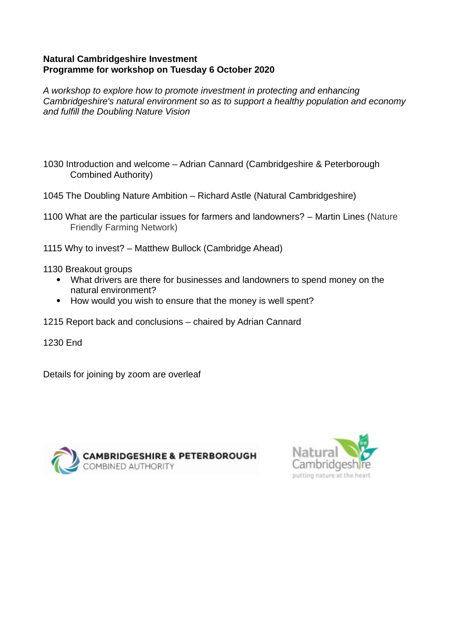#### **Natural Cambridgeshire Investment Programme for workshop on Tuesday 6 October 2020**

*A workshop to explore how to promote investment in protecting and enhancing Cambridgeshire's natural environment so as to support a healthy population and economy and fulfill the Doubling Nature Vision*

- 1030 Introduction and welcome Adrian Cannard (Cambridgeshire & Peterborough Combined Authority)
- 1045 The Doubling Nature Ambition Richard Astle (Natural Cambridgeshire)
- 1100 What are the particular issues for farmers and landowners? Martin Lines (Nature Friendly Farming Network)
- 1115 Why to invest? Matthew Bullock (Cambridge Ahead)

1130 Breakout groups

- What drivers are there for businesses and landowners to spend money on the natural environment?
- How would you wish to ensure that the money is well spent?
- 1215 Report back and conclusions chaired by Adrian Cannard

1230 End

Details for joining by zoom are overleaf



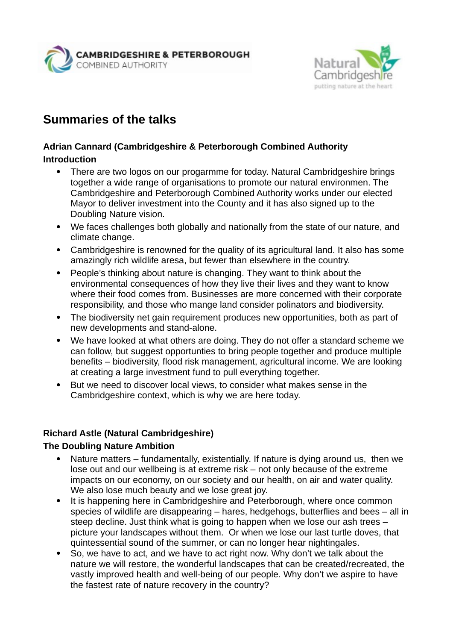



# **Summaries of the talks**

#### **Adrian Cannard (Cambridgeshire & Peterborough Combined Authority Introduction**

- There are two logos on our progarmme for today. Natural Cambridgeshire brings together a wide range of organisations to promote our natural environmen. The Cambridgeshire and Peterborough Combined Authority works under our elected Mayor to deliver investment into the County and it has also signed up to the Doubling Nature vision.
- We faces challenges both globally and nationally from the state of our nature, and climate change.
- Cambridgeshire is renowned for the quality of its agricultural land. It also has some amazingly rich wildlife aresa, but fewer than elsewhere in the country.
- People's thinking about nature is changing. They want to think about the environmental consequences of how they live their lives and they want to know where their food comes from. Businesses are more concerned with their corporate responsibility, and those who mange land consider polinators and biodiversity.
- The biodiversity net gain requirement produces new opportunities, both as part of new developments and stand-alone.
- We have looked at what others are doing. They do not offer a standard scheme we can follow, but suggest opportunties to bring people together and produce multiple benefits – biodiversity, flood risk management, agricultural income. We are looking at creating a large investment fund to pull everything together.
- But we need to discover local views, to consider what makes sense in the Cambridgeshire context, which is why we are here today.

#### **Richard Astle (Natural Cambridgeshire)**

#### **The Doubling Nature Ambition**

- Nature matters fundamentally, existentially. If nature is dying around us, then we lose out and our wellbeing is at extreme risk – not only because of the extreme impacts on our economy, on our society and our health, on air and water quality. We also lose much beauty and we lose great joy.
- It is happening here in Cambridgeshire and Peterborough, where once common species of wildlife are disappearing – hares, hedgehogs, butterflies and bees – all in steep decline. Just think what is going to happen when we lose our ash trees – picture your landscapes without them. Or when we lose our last turtle doves, that quintessential sound of the summer, or can no longer hear nightingales.
- So, we have to act, and we have to act right now. Why don't we talk about the nature we will restore, the wonderful landscapes that can be created/recreated, the vastly improved health and well-being of our people. Why don't we aspire to have the fastest rate of nature recovery in the country?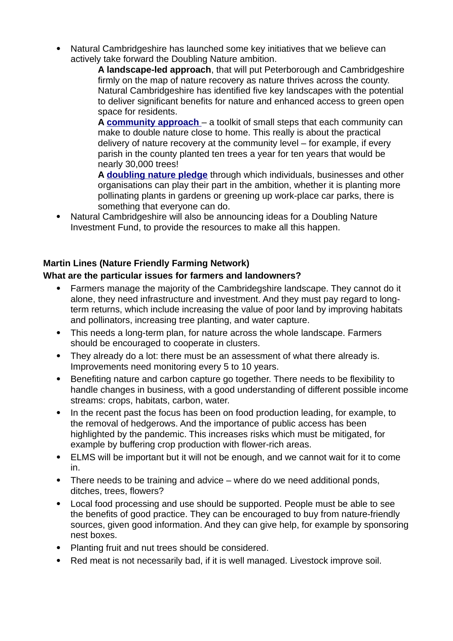Natural Cambridgeshire has launched some key initiatives that we believe can actively take forward the Doubling Nature ambition.

**A landscape-led approach**, that will put Peterborough and Cambridgeshire firmly on the map of nature recovery as nature thrives across the county. Natural Cambridgeshire has identified five key landscapes with the potential to deliver significant benefits for nature and enhanced access to green open space for residents.

**A [community approach](https://naturalcambridgeshire.org.uk/wp-content/uploads/2018/10/nc-developing-with-nature-toolkit.pdf)** – a toolkit of small steps that each community can make to double nature close to home. This really is about the practical delivery of nature recovery at the community level – for example, if every parish in the county planted ten trees a year for ten years that would be nearly 30,000 trees!

**A [doubling nature pledge](https://naturalcambridgeshire.org.uk/news/pledge-for-nature/)** through which individuals, businesses and other organisations can play their part in the ambition, whether it is planting more pollinating plants in gardens or greening up work-place car parks, there is something that everyone can do.

 Natural Cambridgeshire will also be announcing ideas for a Doubling Nature Investment Fund, to provide the resources to make all this happen.

## **Martin Lines (Nature Friendly Farming Network)**

#### **What are the particular issues for farmers and landowners?**

- Farmers manage the majority of the Cambridegshire landscape. They cannot do it alone, they need infrastructure and investment. And they must pay regard to longterm returns, which include increasing the value of poor land by improving habitats and pollinators, increasing tree planting, and water capture.
- This needs a long-term plan, for nature across the whole landscape. Farmers should be encouraged to cooperate in clusters.
- They already do a lot: there must be an assessment of what there already is. Improvements need monitoring every 5 to 10 years.
- Benefiting nature and carbon capture go together. There needs to be flexibility to handle changes in business, with a good understanding of different possible income streams: crops, habitats, carbon, water.
- In the recent past the focus has been on food production leading, for example, to the removal of hedgerows. And the importance of public access has been highlighted by the pandemic. This increases risks which must be mitigated, for example by buffering crop production with flower-rich areas.
- ELMS will be important but it will not be enough, and we cannot wait for it to come in.
- There needs to be training and advice where do we need additional ponds, ditches, trees, flowers?
- Local food processing and use should be supported. People must be able to see the benefits of good practice. They can be encouraged to buy from nature-friendly sources, given good information. And they can give help, for example by sponsoring nest boxes.
- Planting fruit and nut trees should be considered.
- Red meat is not necessarily bad, if it is well managed. Livestock improve soil.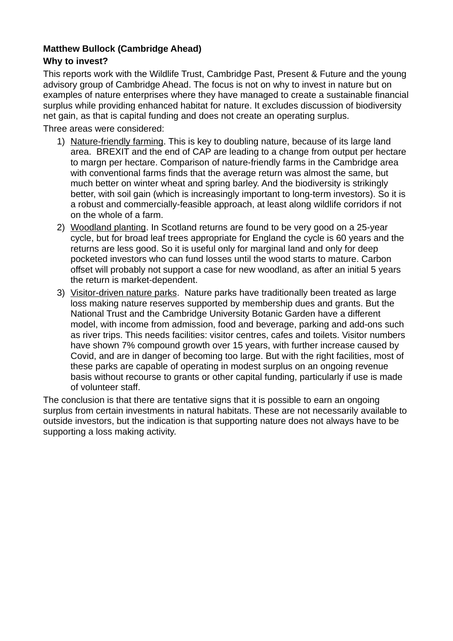# **Matthew Bullock (Cambridge Ahead)**

#### **Why to invest?**

This reports work with the Wildlife Trust, Cambridge Past, Present & Future and the young advisory group of Cambridge Ahead. The focus is not on why to invest in nature but on examples of nature enterprises where they have managed to create a sustainable financial surplus while providing enhanced habitat for nature. It excludes discussion of biodiversity net gain, as that is capital funding and does not create an operating surplus.

Three areas were considered:

- 1) Nature-friendly farming. This is key to doubling nature, because of its large land area. BREXIT and the end of CAP are leading to a change from output per hectare to margn per hectare. Comparison of nature-friendly farms in the Cambridge area with conventional farms finds that the average return was almost the same, but much better on winter wheat and spring barley. And the biodiversity is strikingly better, with soil gain (which is increasingly important to long-term investors). So it is a robust and commercially-feasible approach, at least along wildlife corridors if not on the whole of a farm.
- 2) Woodland planting. In Scotland returns are found to be very good on a 25-year cycle, but for broad leaf trees appropriate for England the cycle is 60 years and the returns are less good. So it is useful only for marginal land and only for deep pocketed investors who can fund losses until the wood starts to mature. Carbon offset will probably not support a case for new woodland, as after an initial 5 years the return is market-dependent.
- 3) Visitor-driven nature parks. Nature parks have traditionally been treated as large loss making nature reserves supported by membership dues and grants. But the National Trust and the Cambridge University Botanic Garden have a different model, with income from admission, food and beverage, parking and add-ons such as river trips. This needs facilities: visitor centres, cafes and toilets. Visitor numbers have shown 7% compound growth over 15 years, with further increase caused by Covid, and are in danger of becoming too large. But with the right facilities, most of these parks are capable of operating in modest surplus on an ongoing revenue basis without recourse to grants or other capital funding, particularly if use is made of volunteer staff.

The conclusion is that there are tentative signs that it is possible to earn an ongoing surplus from certain investments in natural habitats. These are not necessarily available to outside investors, but the indication is that supporting nature does not always have to be supporting a loss making activity.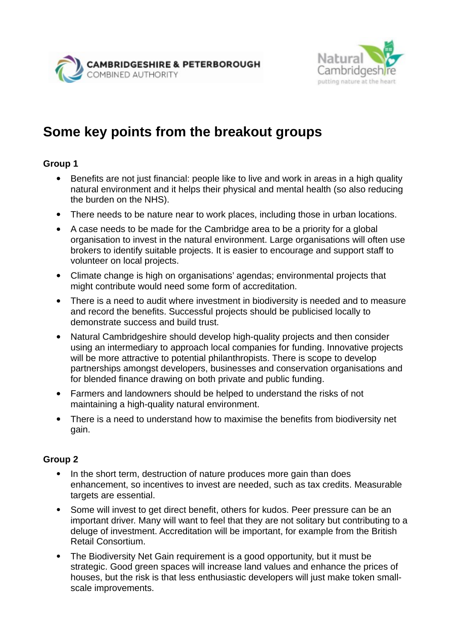

# **Some key points from the breakout groups**

# **Group 1**

- Benefits are not just financial: people like to live and work in areas in a high quality natural environment and it helps their physical and mental health (so also reducing the burden on the NHS).
- There needs to be nature near to work places, including those in urban locations.
- A case needs to be made for the Cambridge area to be a priority for a global organisation to invest in the natural environment. Large organisations will often use brokers to identify suitable projects. It is easier to encourage and support staff to volunteer on local projects.
- Climate change is high on organisations' agendas; environmental projects that might contribute would need some form of accreditation.
- There is a need to audit where investment in biodiversity is needed and to measure and record the benefits. Successful projects should be publicised locally to demonstrate success and build trust.
- Natural Cambridgeshire should develop high-quality projects and then consider using an intermediary to approach local companies for funding. Innovative projects will be more attractive to potential philanthropists. There is scope to develop partnerships amongst developers, businesses and conservation organisations and for blended finance drawing on both private and public funding.
- Farmers and landowners should be helped to understand the risks of not maintaining a high-quality natural environment.
- There is a need to understand how to maximise the benefits from biodiversity net gain.

#### **Group 2**

- In the short term, destruction of nature produces more gain than does enhancement, so incentives to invest are needed, such as tax credits. Measurable targets are essential.
- Some will invest to get direct benefit, others for kudos. Peer pressure can be an important driver. Many will want to feel that they are not solitary but contributing to a deluge of investment. Accreditation will be important, for example from the British Retail Consortium.
- The Biodiversity Net Gain requirement is a good opportunity, but it must be strategic. Good green spaces will increase land values and enhance the prices of houses, but the risk is that less enthusiastic developers will just make token smallscale improvements.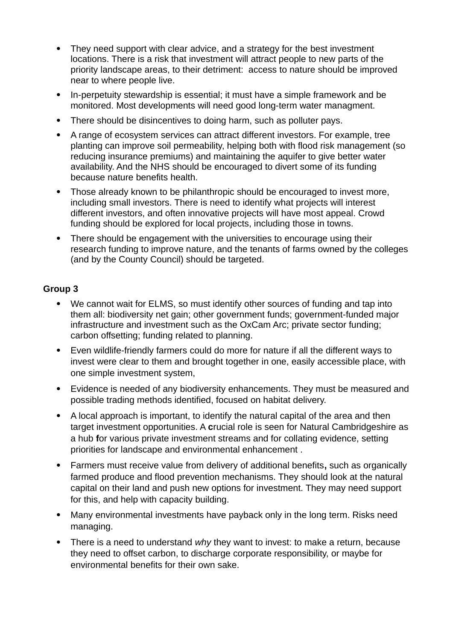- They need support with clear advice, and a strategy for the best investment locations. There is a risk that investment will attract people to new parts of the priority landscape areas, to their detriment: access to nature should be improved near to where people live.
- In-perpetuity stewardship is essential; it must have a simple framework and be monitored. Most developments will need good long-term water managment.
- There should be disincentives to doing harm, such as polluter pays.
- A range of ecosystem services can attract different investors. For example, tree planting can improve soil permeability, helping both with flood risk management (so reducing insurance premiums) and maintaining the aquifer to give better water availability. And the NHS should be encouraged to divert some of its funding because nature benefits health.
- Those already known to be philanthropic should be encouraged to invest more, including small investors. There is need to identify what projects will interest different investors, and often innovative projects will have most appeal. Crowd funding should be explored for local projects, including those in towns.
- There should be engagement with the universities to encourage using their research funding to improve nature, and the tenants of farms owned by the colleges (and by the County Council) should be targeted.

#### **Group 3**

- We cannot wait for ELMS, so must identify other sources of funding and tap into them all: biodiversity net gain; other government funds; government-funded major infrastructure and investment such as the OxCam Arc; private sector funding; carbon offsetting; funding related to planning.
- Even wildlife-friendly farmers could do more for nature if all the different ways to invest were clear to them and brought together in one, easily accessible place, with one simple investment system,
- Evidence is needed of any biodiversity enhancements. They must be measured and possible trading methods identified, focused on habitat delivery.
- A local approach is important, to identify the natural capital of the area and then target investment opportunities. A **c**rucial role is seen for Natural Cambridgeshire as a hub **f**or various private investment streams and for collating evidence, setting priorities for landscape and environmental enhancement .
- Farmers must receive value from delivery of additional benefits**,** such as organically farmed produce and flood prevention mechanisms. They should look at the natural capital on their land and push new options for investment. They may need support for this, and help with capacity building.
- Many environmental investments have payback only in the long term. Risks need managing.
- There is a need to understand *why* they want to invest: to make a return, because they need to offset carbon, to discharge corporate responsibility, or maybe for environmental benefits for their own sake.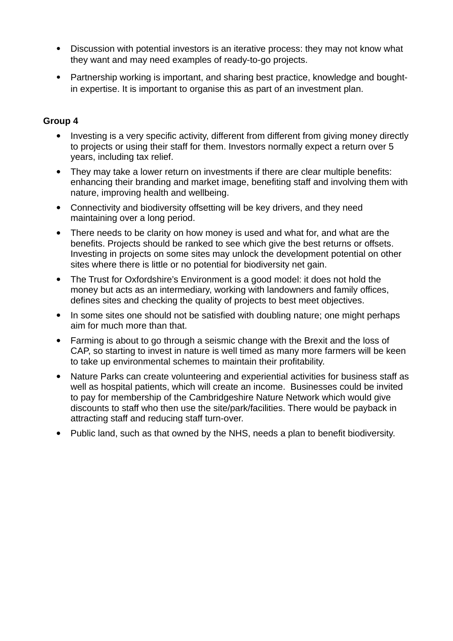- Discussion with potential investors is an iterative process: they may not know what they want and may need examples of ready-to-go projects.
- Partnership working is important, and sharing best practice, knowledge and boughtin expertise. It is important to organise this as part of an investment plan.

#### **Group 4**

- Investing is a very specific activity, different from different from giving money directly to projects or using their staff for them. Investors normally expect a return over 5 years, including tax relief.
- They may take a lower return on investments if there are clear multiple benefits: enhancing their branding and market image, benefiting staff and involving them with nature, improving health and wellbeing.
- Connectivity and biodiversity offsetting will be key drivers, and they need maintaining over a long period.
- There needs to be clarity on how money is used and what for, and what are the benefits. Projects should be ranked to see which give the best returns or offsets. Investing in projects on some sites may unlock the development potential on other sites where there is little or no potential for biodiversity net gain.
- The Trust for Oxfordshire's Environment is a good model: it does not hold the money but acts as an intermediary, working with landowners and family offices, defines sites and checking the quality of projects to best meet objectives.
- In some sites one should not be satisfied with doubling nature; one might perhaps aim for much more than that.
- Farming is about to go through a seismic change with the Brexit and the loss of CAP, so starting to invest in nature is well timed as many more farmers will be keen to take up environmental schemes to maintain their profitability.
- Nature Parks can create volunteering and experiential activities for business staff as well as hospital patients, which will create an income. Businesses could be invited to pay for membership of the Cambridgeshire Nature Network which would give discounts to staff who then use the site/park/facilities. There would be payback in attracting staff and reducing staff turn-over.
- Public land, such as that owned by the NHS, needs a plan to benefit biodiversity.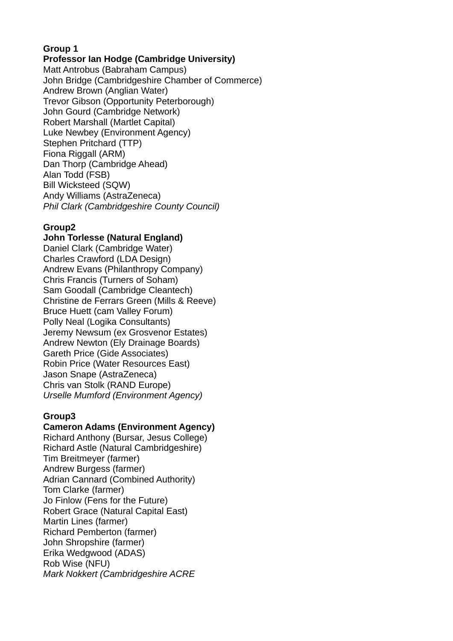#### **Group 1 Professor Ian Hodge (Cambridge University)**

Matt Antrobus (Babraham Campus) John Bridge (Cambridgeshire Chamber of Commerce) Andrew Brown (Anglian Water) Trevor Gibson (Opportunity Peterborough) John Gourd (Cambridge Network) Robert Marshall (Martlet Capital) Luke Newbey (Environment Agency) Stephen Pritchard (TTP) Fiona Riggall (ARM) Dan Thorp (Cambridge Ahead) Alan Todd (FSB) Bill Wicksteed (SQW) Andy Williams (AstraZeneca) *Phil Clark (Cambridgeshire County Council)*

# **Group2**

## **John Torlesse (Natural England)**

Daniel Clark (Cambridge Water) Charles Crawford (LDA Design) Andrew Evans (Philanthropy Company) Chris Francis (Turners of Soham) Sam Goodall (Cambridge Cleantech) Christine de Ferrars Green (Mills & Reeve) Bruce Huett (cam Valley Forum) Polly Neal (Logika Consultants) Jeremy Newsum (ex Grosvenor Estates) Andrew Newton (Ely Drainage Boards) Gareth Price (Gide Associates) Robin Price (Water Resources East) Jason Snape (AstraZeneca) Chris van Stolk (RAND Europe) *Urselle Mumford (Environment Agency)*

#### **Group3**

# **Cameron Adams (Environment Agency)**

Richard Anthony (Bursar, Jesus College) Richard Astle (Natural Cambridgeshire) Tim Breitmeyer (farmer) Andrew Burgess (farmer) Adrian Cannard (Combined Authority) Tom Clarke (farmer) Jo Finlow (Fens for the Future) Robert Grace (Natural Capital East) Martin Lines (farmer) Richard Pemberton (farmer) John Shropshire (farmer) Erika Wedgwood (ADAS) Rob Wise (NFU) *Mark Nokkert (Cambridgeshire ACRE*